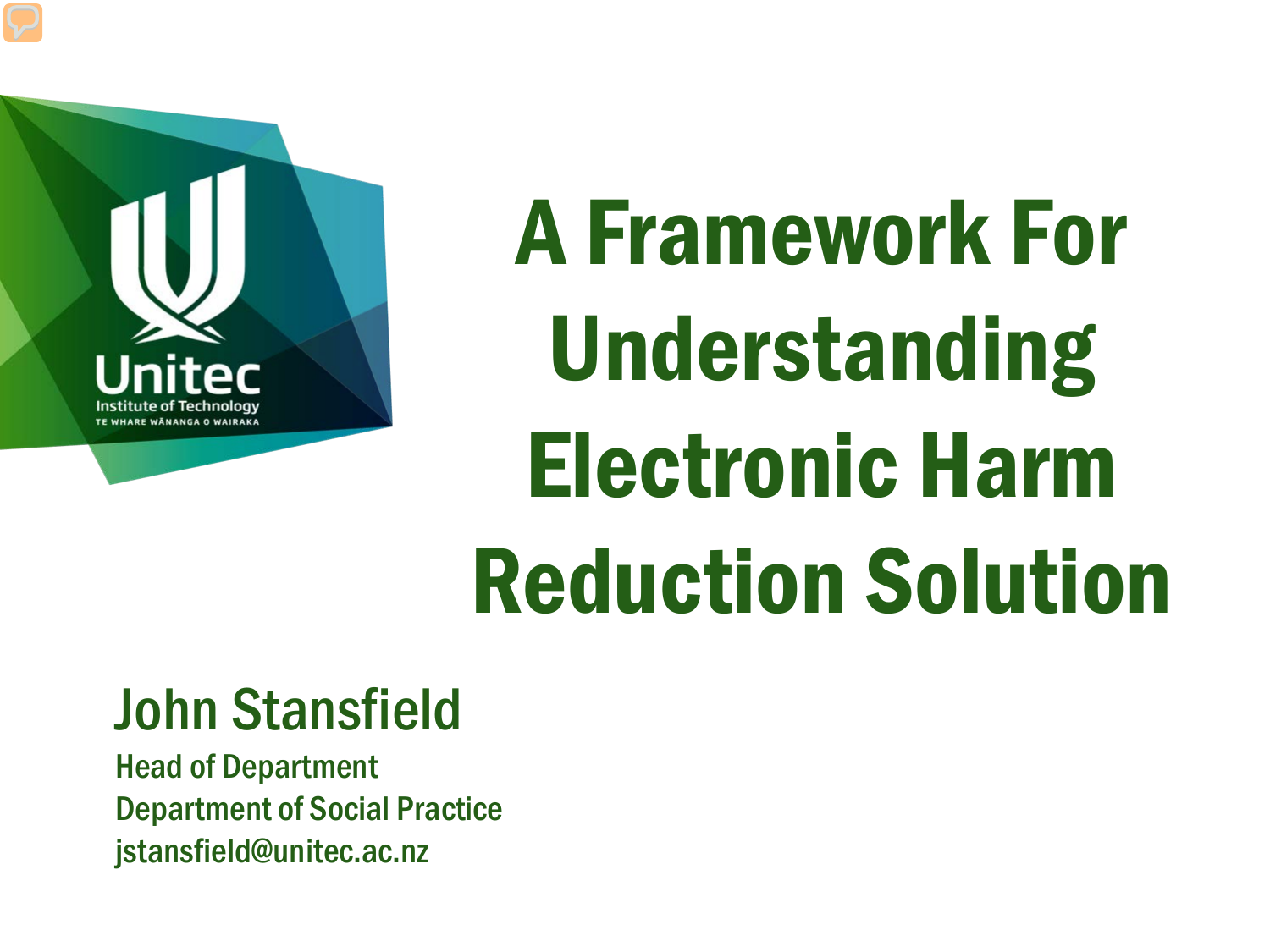

# A Framework For Understanding Electronic Harm Reduction Solution

#### John Stansfield

Head of Department Department of Social Practice jstansfield@unitec.ac.nz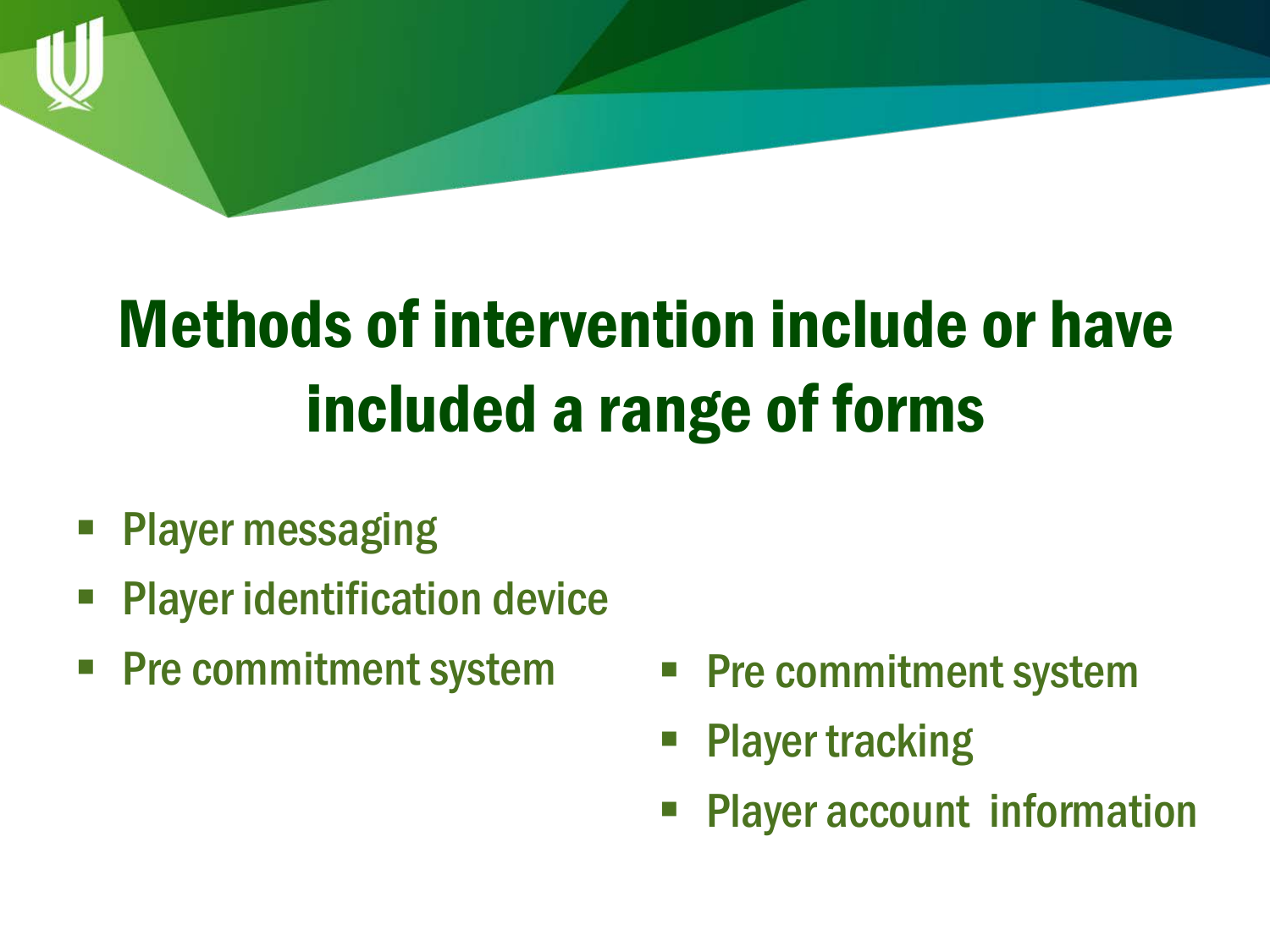## Methods of intervention include or have included a range of forms

- **Player messaging**
- Player identification device
- **Pre commitment system**
- **Pre commitment system**
- Player tracking
- Player account information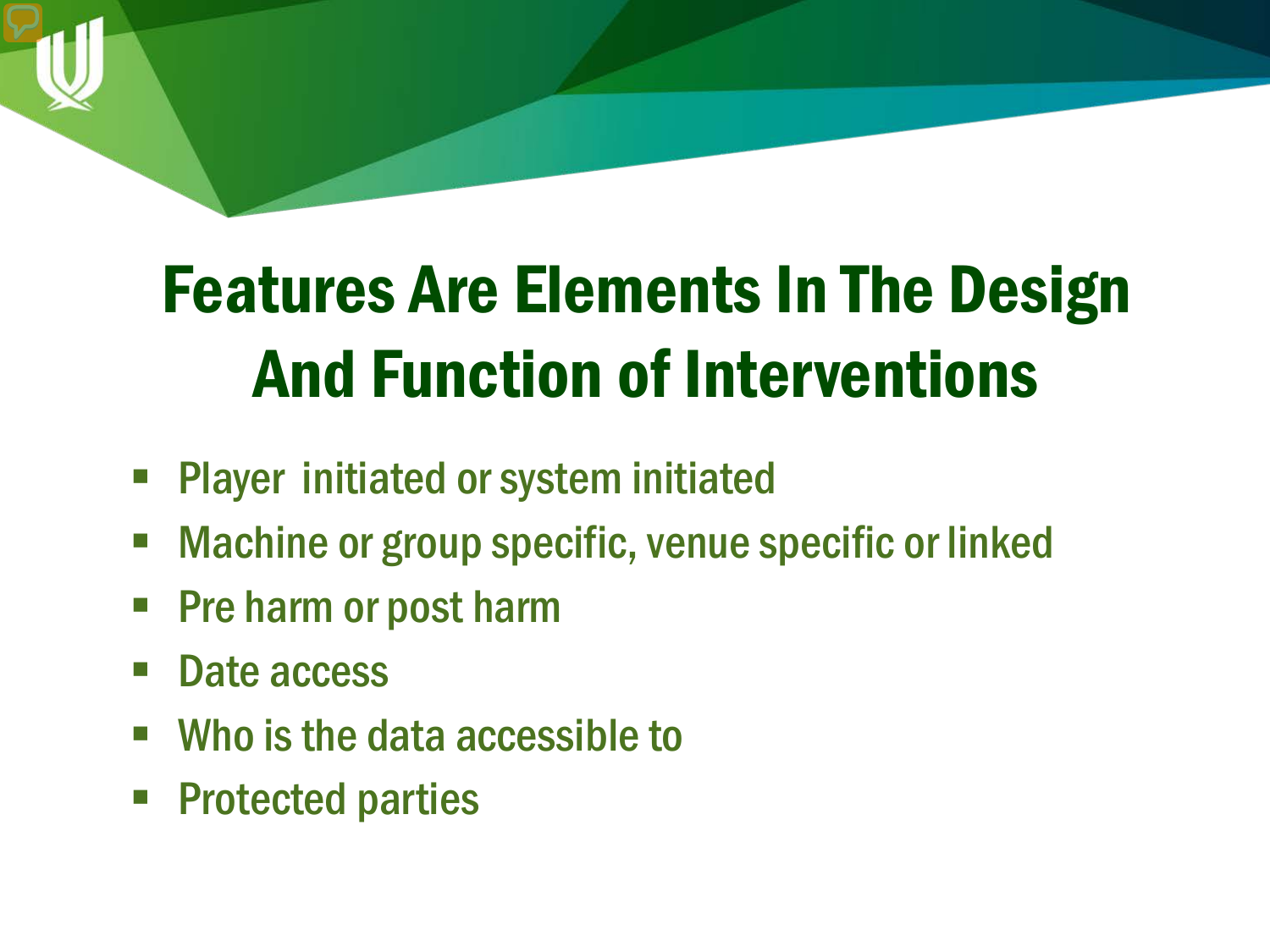## Features Are Elements In The Design And Function of Interventions

- Player initiated or system initiated
- Machine or group specific, venue specific or linked
- Pre harm or post harm
- Date access
- Who is the data accessible to
- Protected parties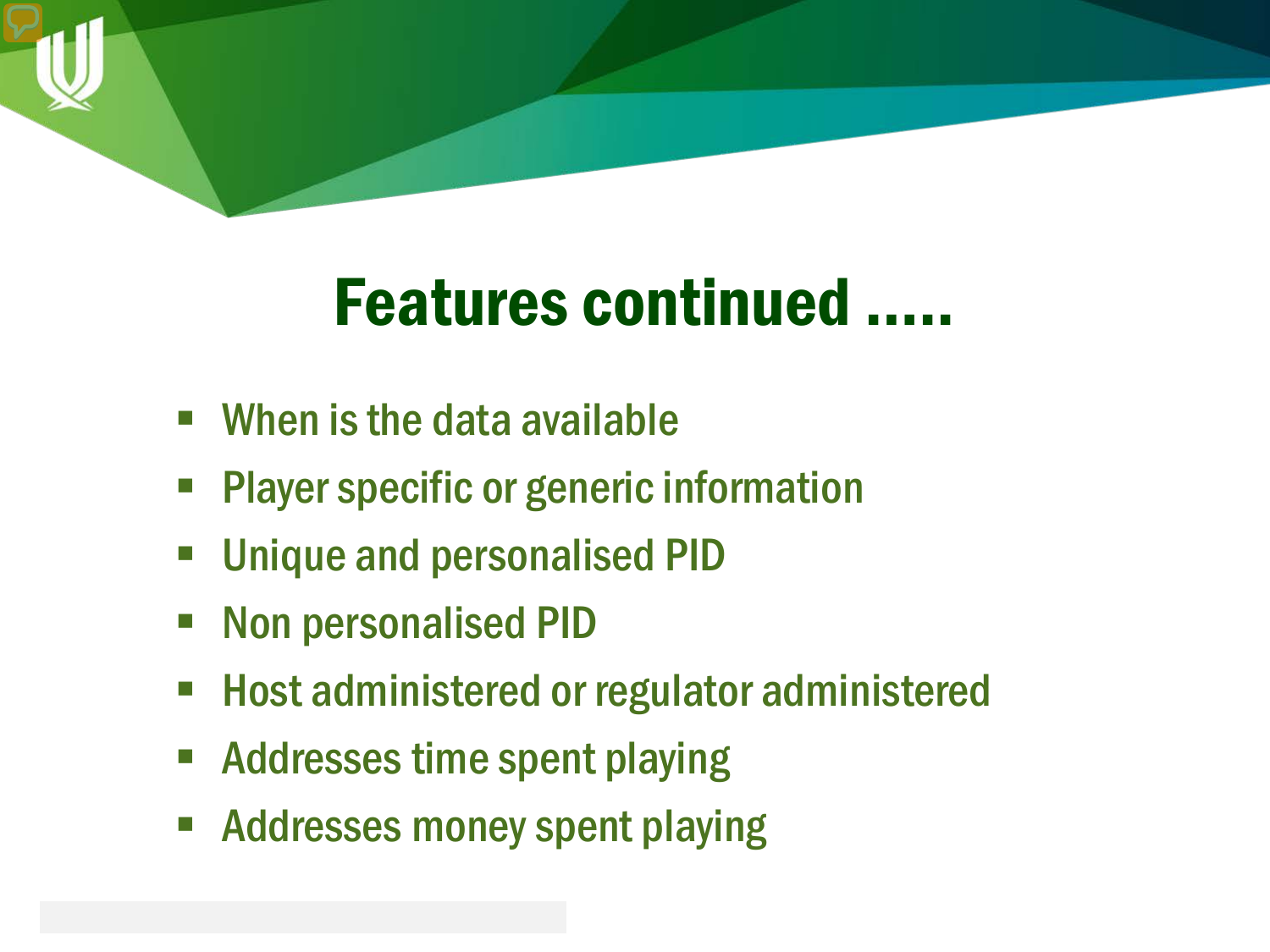

### Features continued …..

- When is the data available
- Player specific or generic information
- **Unique and personalised PID**
- Non personalised PID
- Host administered or regulator administered
- Addresses time spent playing
- **Addresses money spent playing**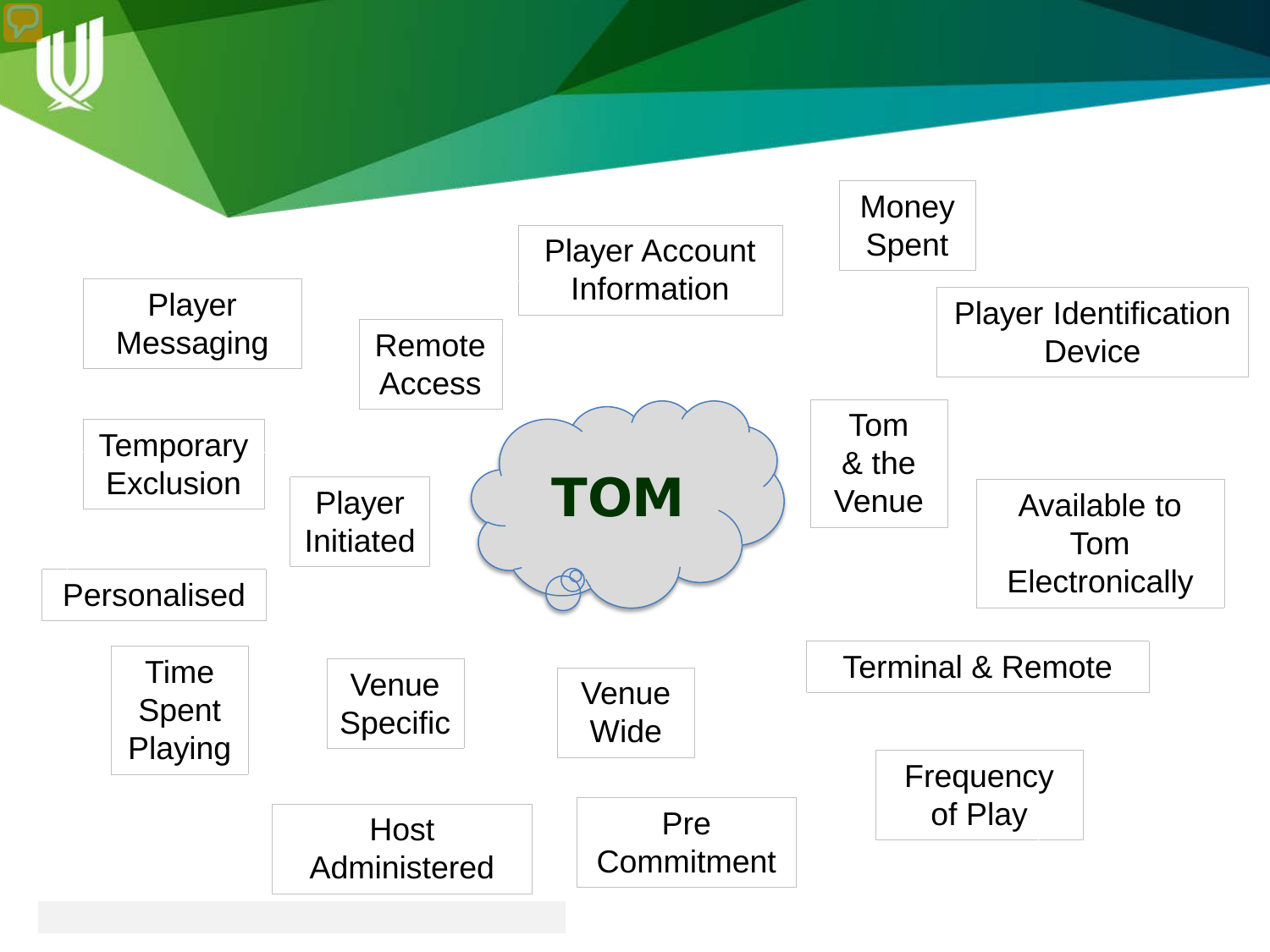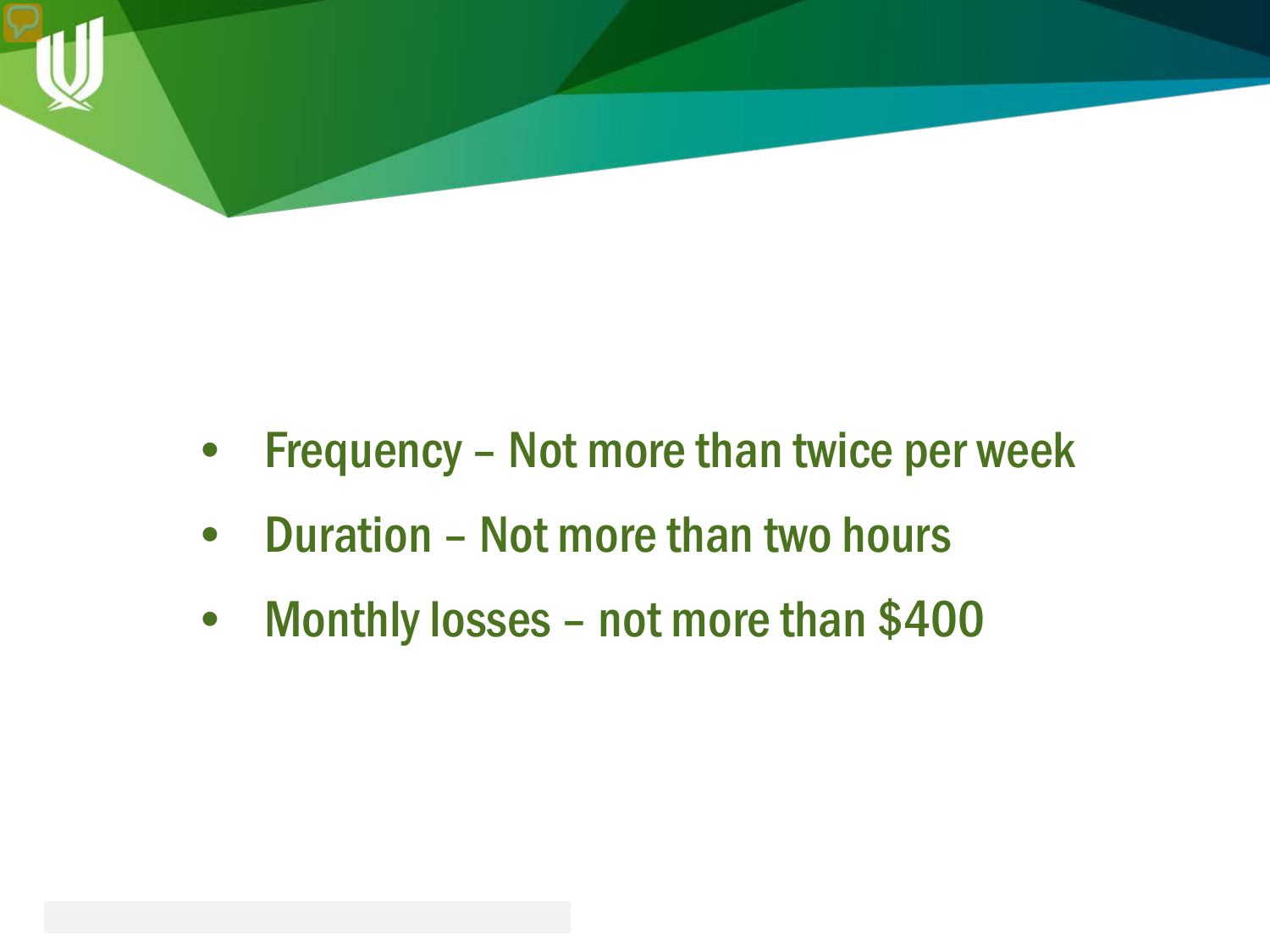

- Frequency Not more than twice per week
- Duration Not more than two hours
- Monthly losses not more than \$400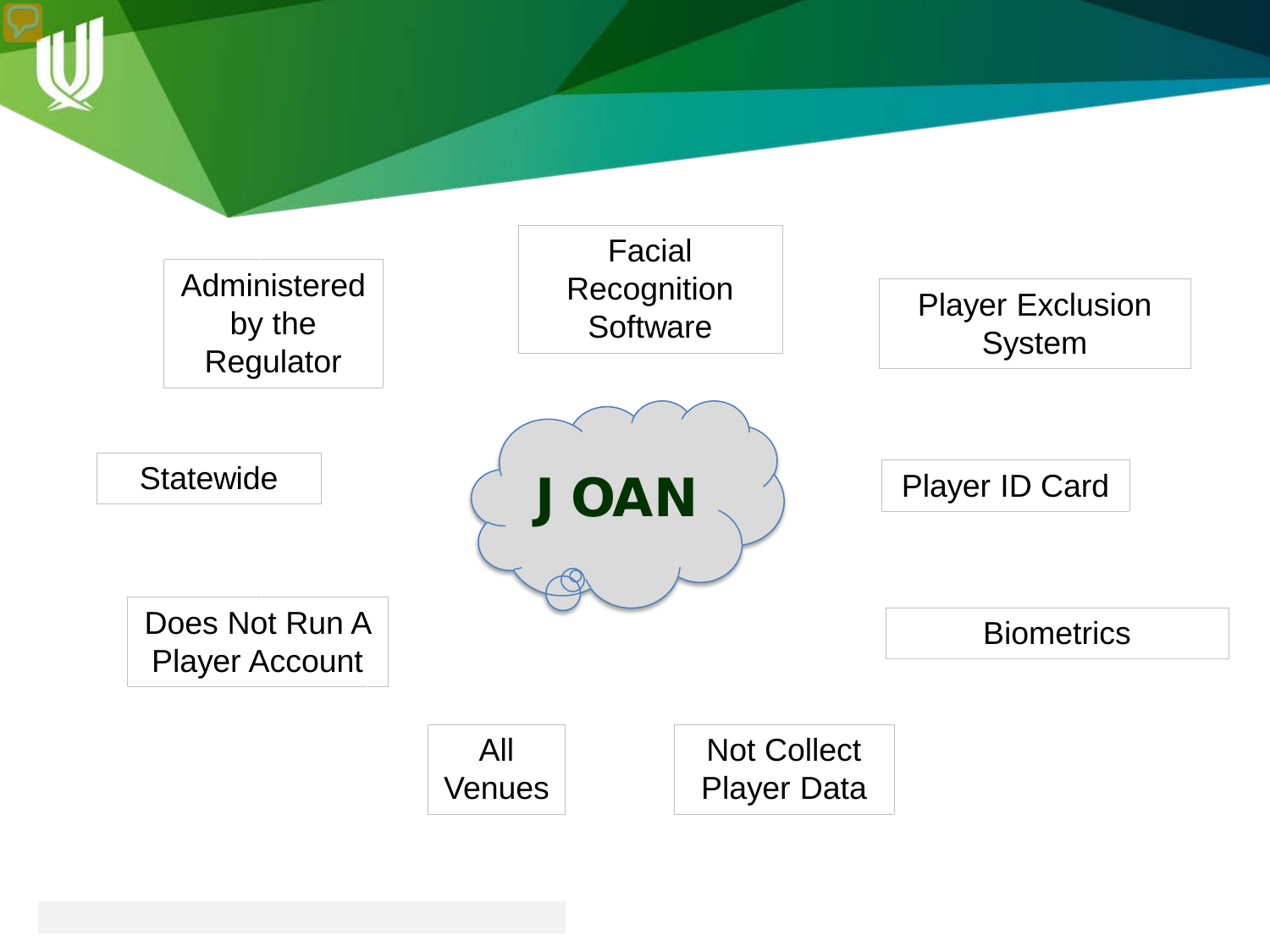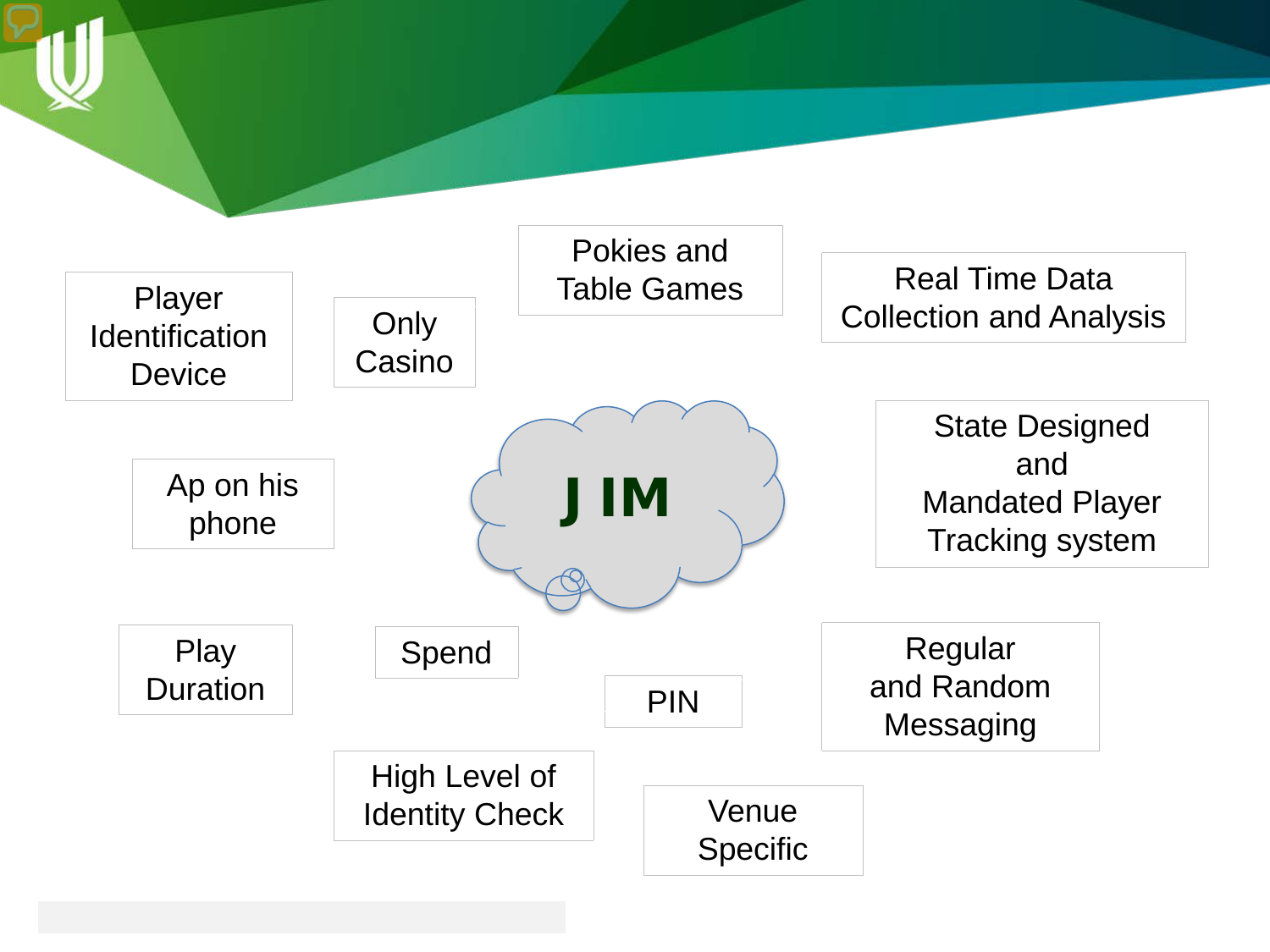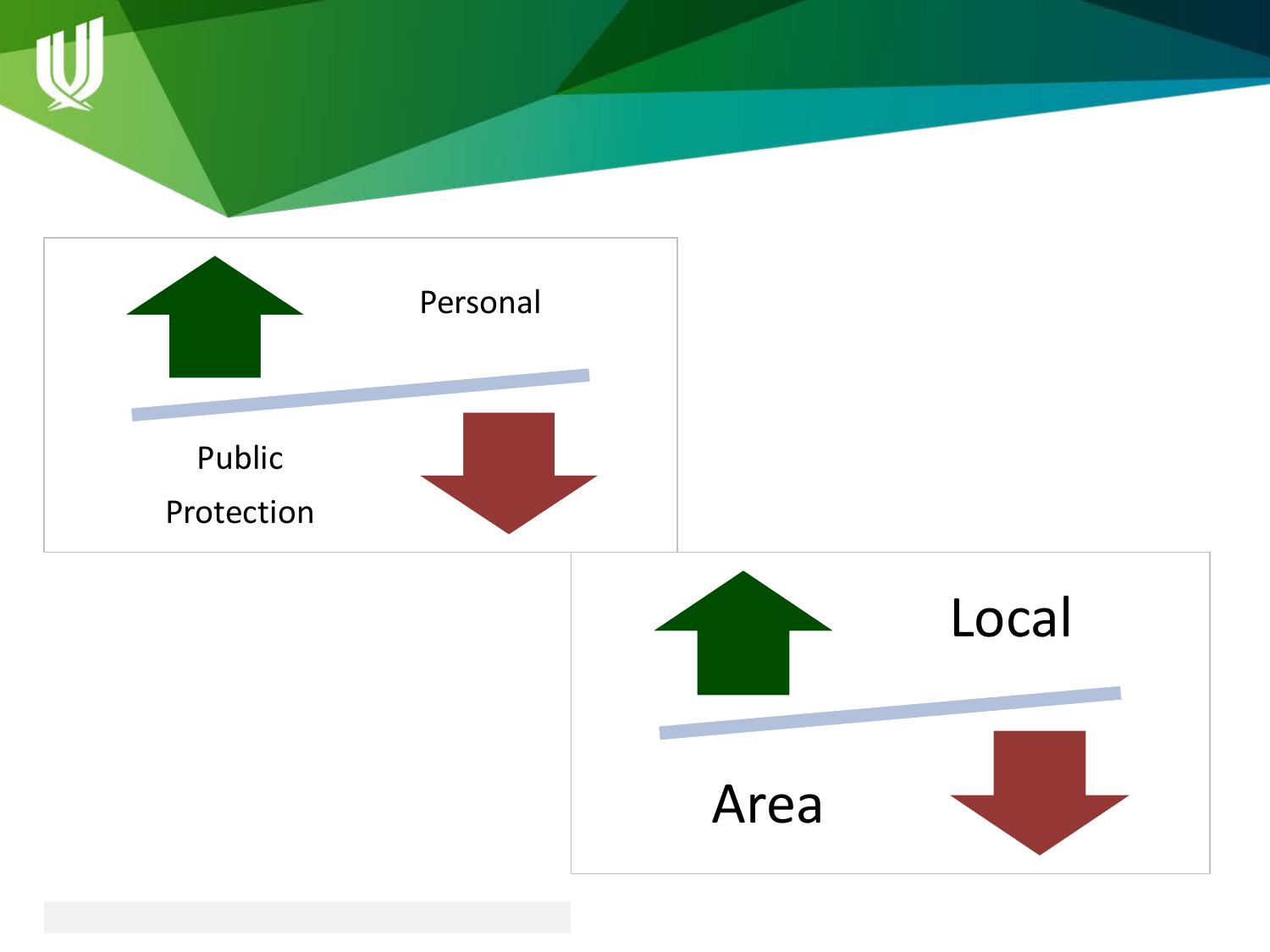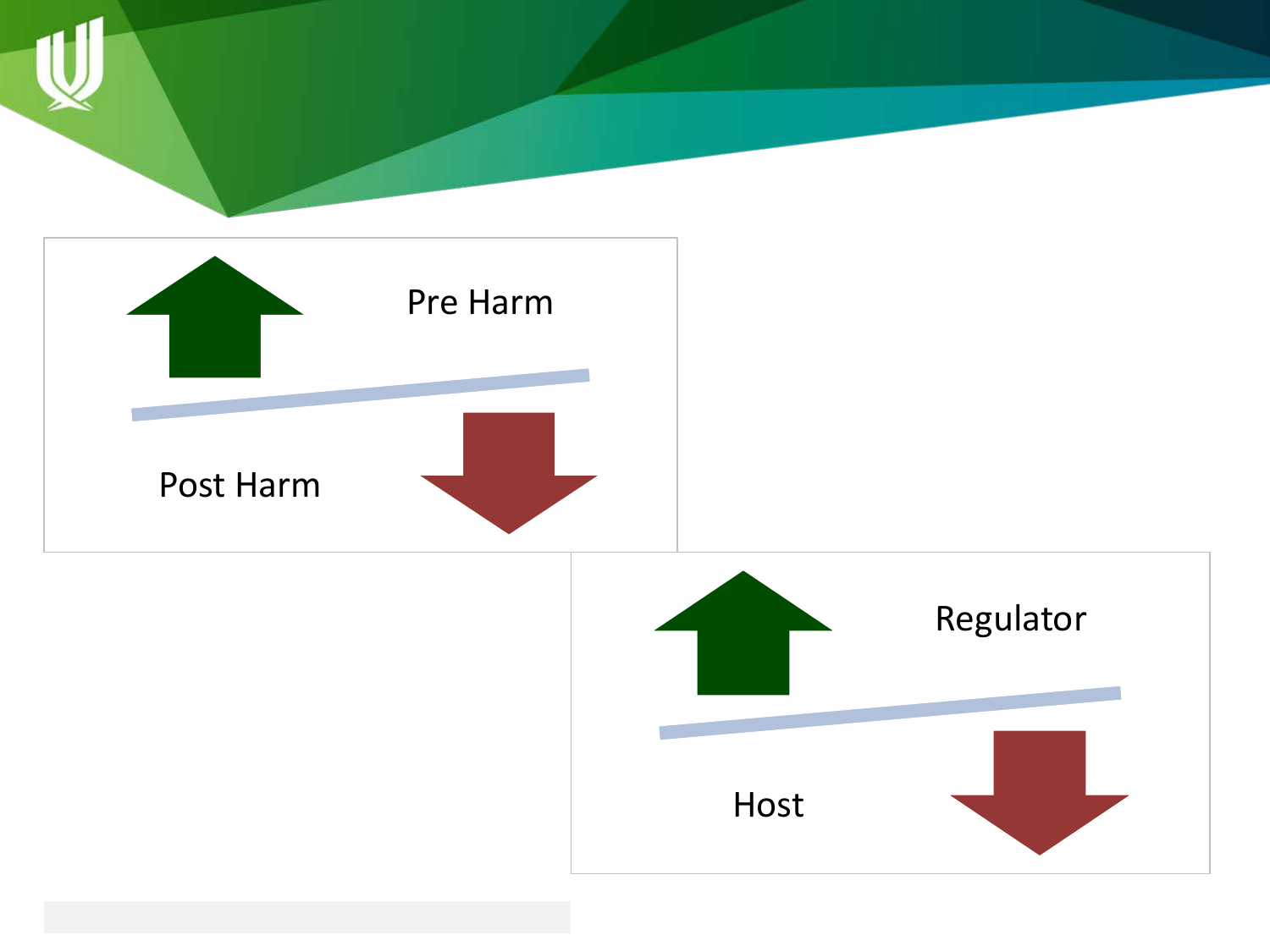

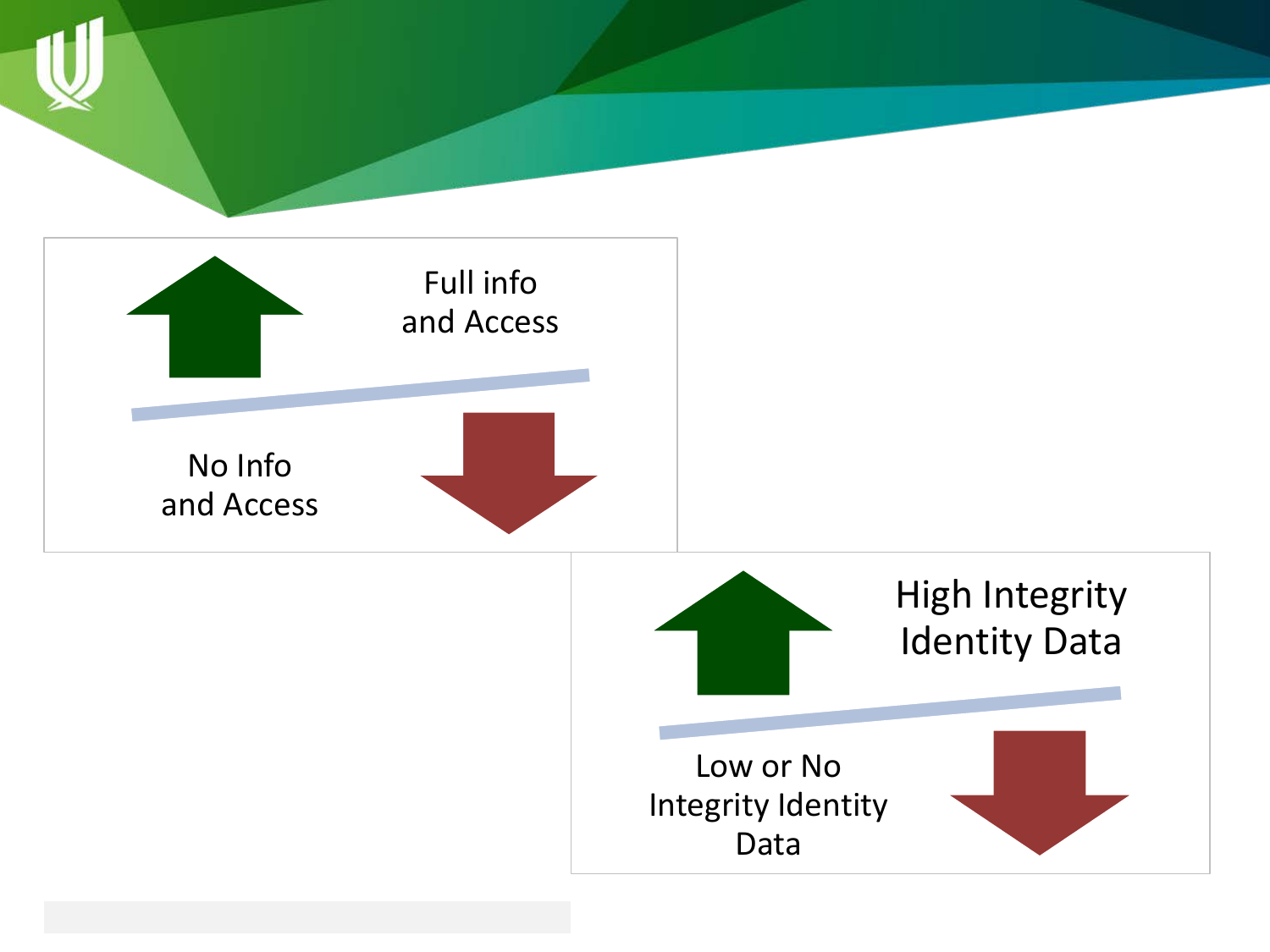